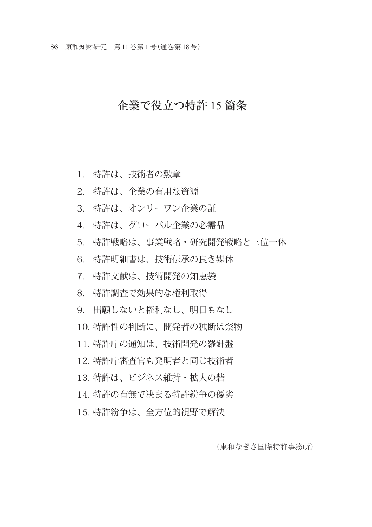86 東和知財研究 第 11 巻第 1 号(通巻第 18 号)

## 企業で役立つ特許 15 箇条

1. 特許は、技術者の勲章

2. 特許は、企業の有用な資源

3 特許は、オンリーワン企業の証

4. 特許は、グローバル企業の必需品

5. 特許戦略は、事業戦略・研究開発戦略と三位一体

6. 特許明細書は、技術伝承の良き媒体

7. 特許文献は、技術開発の知恵袋

8. 特許調査で効果的な権利取得

9. 出願しないと権利なし、明日もなし

10. 特許性の判断に、開発者の独断は禁物

11. 特許庁の通知は、技術開発の羅針盤

12. 特許庁審査官も発明者と同じ技術者

13. 特許は、ビジネス維持・拡大の砦

14. 特許の有無で決まる特許紛争の優劣

15. 特許紛争は、全方位的視野で解決

(東和なぎさ国際特許事務所)